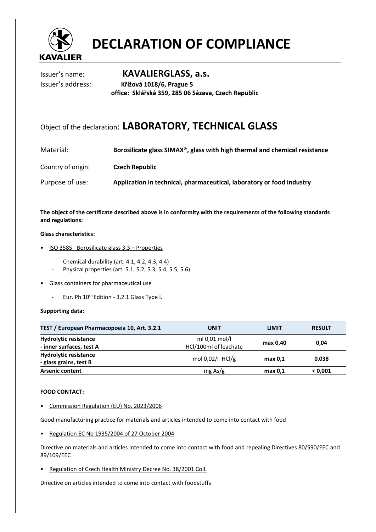

# **DECLARATION OF COMPLIANCE**

Issuer's name: **KAVALIERGLASS, a.s.** Issuer's address: **Křížová 1018/6, Prague 5 office: Sklářská 359, 285 06 Sázava, Czech Republic** 

## Object of the declaration: **LABORATORY, TECHNICAL GLASS**

| Material:          | Borosilicate glass SIMAX <sup>®</sup> , glass with high thermal and chemical resistance |
|--------------------|-----------------------------------------------------------------------------------------|
| Country of origin: | <b>Czech Republic</b>                                                                   |
| Purpose of use:    | Application in technical, pharmaceutical, laboratory or food industry                   |

### **The object of the certificate described above is in conformity with the requirements of the following standards and regulations:**

#### **Glass characteristics:**

- ISO 3585 Borosilicate glass 3.3 Properties
	- Chemical durability (art. 4.1, 4.2, 4.3, 4.4)
	- Physical properties (art. 5.1, 5.2, 5.3, 5.4, 5.5, 5.6)
- Glass containers for pharmaceutical use
	- Eur. Ph 10<sup>th</sup> Edition 3.2.1 Glass Type I.

#### **Supporting data:**

| TEST / European Pharmacopoeia 10, Art. 3.2.1             | <b>UNIT</b>                              | <b>LIMIT</b> | <b>RESULT</b> |
|----------------------------------------------------------|------------------------------------------|--------------|---------------|
| <b>Hydrolytic resistance</b><br>- inner surfaces, test A | ml $0.01$ mol/l<br>HCl/100ml of leachate | max 0,40     | 0.04          |
| <b>Hydrolytic resistance</b><br>- glass grains, test B   | mol 0,02/l HCl/g                         | max 0.1      | 0,038         |
| <b>Arsenic content</b>                                   | $mg\,As/g$                               | max 0.1      | < 0.001       |

#### **FOOD CONTACT:**

• Commission Regulation (EU) No. 2023/2006

Good manufacturing practice for materials and articles intended to come into contact with food

• Regulation EC No 1935/2004 of 27 October 2004

Directive on materials and articles intended to come into contact with food and repealing Directives 80/590/EEC and 89/109/EEC

• Regulation of Czech Health Ministry Decree No. 38/2001 Coll.

Directive on articles intended to come into contact with foodstuffs